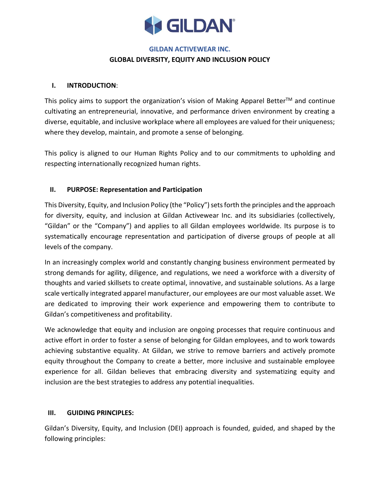

#### **GILDAN ACTIVEWEAR INC.**

### **GLOBAL DIVERSITY, EQUITY AND INCLUSION POLICY**

### **I. INTRODUCTION**:

This policy aims to support the organization's vision of Making Apparel Better<sup>TM</sup> and continue cultivating an entrepreneurial, innovative, and performance driven environment by creating a diverse, equitable, and inclusive workplace where all employees are valued for their uniqueness; where they develop, maintain, and promote a sense of belonging.

This policy is aligned to our Human Rights Policy and to our commitments to upholding and respecting internationally recognized human rights.

# **II. PURPOSE: Representation and Participation**

This Diversity, Equity, and Inclusion Policy (the "Policy") sets forth the principles and the approach for diversity, equity, and inclusion at Gildan Activewear Inc. and its subsidiaries (collectively, "Gildan" or the "Company") and applies to all Gildan employees worldwide. Its purpose is to systematically encourage representation and participation of diverse groups of people at all levels of the company.

In an increasingly complex world and constantly changing business environment permeated by strong demands for agility, diligence, and regulations, we need a workforce with a diversity of thoughts and varied skillsets to create optimal, innovative, and sustainable solutions. As a large scale vertically integrated apparel manufacturer, our employees are our most valuable asset. We are dedicated to improving their work experience and empowering them to contribute to Gildan's competitiveness and profitability.

We acknowledge that equity and inclusion are ongoing processes that require continuous and active effort in order to foster a sense of belonging for Gildan employees, and to work towards achieving substantive equality. At Gildan, we strive to remove barriers and actively promote equity throughout the Company to create a better, more inclusive and sustainable employee experience for all. Gildan believes that embracing diversity and systematizing equity and inclusion are the best strategies to address any potential inequalities.

# **III. GUIDING PRINCIPLES:**

Gildan's Diversity, Equity, and Inclusion (DEI) approach is founded, guided, and shaped by the following principles: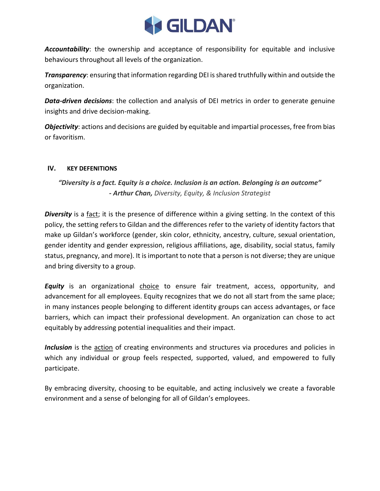

*Accountability*: the ownership and acceptance of responsibility for equitable and inclusive behaviours throughout all levels of the organization.

*Transparency*: ensuring that information regarding DEI is shared truthfully within and outside the organization.

*Data-driven decisions*: the collection and analysis of DEI metrics in order to generate genuine insights and drive decision-making.

*Objectivity*: actions and decisions are guided by equitable and impartial processes, free from bias or favoritism.

# **IV. KEY DEFENITIONS**

# *"Diversity is a fact. Equity is a choice. Inclusion is an action. Belonging is an outcome" - Arthur Chan, Diversity, Equity, & Inclusion Strategist*

*Diversity* is a fact; it is the presence of difference within a giving setting. In the context of this policy, the setting refers to Gildan and the differences refer to the variety of identity factors that make up Gildan's workforce (gender, skin color, ethnicity, ancestry, culture, sexual orientation, gender identity and gender expression, religious affiliations, age, disability, social status, family status, pregnancy, and more). It is important to note that a person is not diverse; they are unique and bring diversity to a group.

*Equity* is an organizational choice to ensure fair treatment, access, opportunity, and advancement for all employees. Equity recognizes that we do not all start from the same place; in many instances people belonging to different identity groups can access advantages, or face barriers, which can impact their professional development. An organization can chose to act equitably by addressing potential inequalities and their impact.

*Inclusion* is the action of creating environments and structures via procedures and policies in which any individual or group feels respected, supported, valued, and empowered to fully participate.

By embracing diversity, choosing to be equitable, and acting inclusively we create a favorable environment and a sense of belonging for all of Gildan's employees.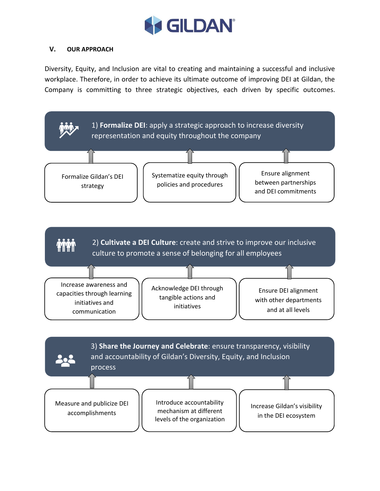

# **V. OUR APPROACH**

Diversity, Equity, and Inclusion are vital to creating and maintaining a successful and inclusive workplace. Therefore, in order to achieve its ultimate outcome of improving DEI at Gildan, the Company is committing to three strategic objectives, each driven by specific outcomes.

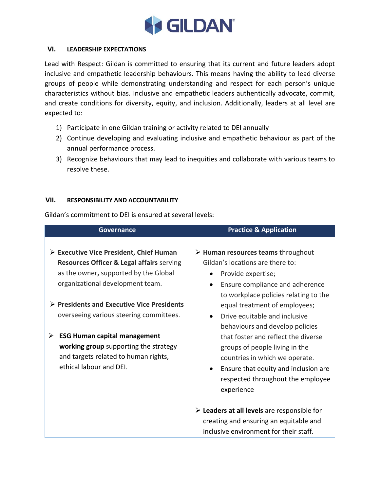

#### **VI. LEADERSHIP EXPECTATIONS**

Lead with Respect: Gildan is committed to ensuring that its current and future leaders adopt inclusive and empathetic leadership behaviours. This means having the ability to lead diverse groups of people while demonstrating understanding and respect for each person's unique characteristics without bias. Inclusive and empathetic leaders authentically advocate, commit, and create conditions for diversity, equity, and inclusion. Additionally, leaders at all level are expected to:

- 1) Participate in one Gildan training or activity related to DEI annually
- 2) Continue developing and evaluating inclusive and empathetic behaviour as part of the annual performance process.
- 3) Recognize behaviours that may lead to inequities and collaborate with various teams to resolve these.

### **VII. RESPONSIBILITY AND ACCOUNTABILITY**

Gildan's commitment to DEI is ensured at several levels:

| Governance                                                                                                                                                                                                                                               | <b>Practice &amp; Application</b>                                                                                                                                                                                                                                      |
|----------------------------------------------------------------------------------------------------------------------------------------------------------------------------------------------------------------------------------------------------------|------------------------------------------------------------------------------------------------------------------------------------------------------------------------------------------------------------------------------------------------------------------------|
| $\triangleright$ Executive Vice President, Chief Human<br><b>Resources Officer &amp; Legal affairs serving</b><br>as the owner, supported by the Global<br>organizational development team.<br>$\triangleright$ Presidents and Executive Vice Presidents | $\triangleright$ Human resources teams throughout<br>Gildan's locations are there to:<br>Provide expertise;<br>Ensure compliance and adherence<br>to workplace policies relating to the<br>equal treatment of employees;                                               |
| overseeing various steering committees.<br><b>ESG Human capital management</b><br>➤<br>working group supporting the strategy<br>and targets related to human rights,<br>ethical labour and DEI.                                                          | Drive equitable and inclusive<br>behaviours and develop policies<br>that foster and reflect the diverse<br>groups of people living in the<br>countries in which we operate.<br>Ensure that equity and inclusion are<br>respected throughout the employee<br>experience |
|                                                                                                                                                                                                                                                          | $\triangleright$ Leaders at all levels are responsible for<br>creating and ensuring an equitable and<br>inclusive environment for their staff.                                                                                                                         |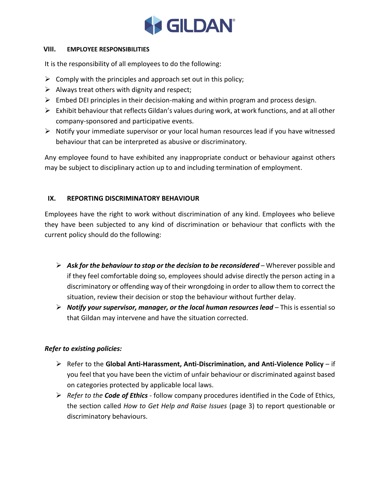

#### **VIII. EMPLOYEE RESPONSIBILITIES**

It is the responsibility of all employees to do the following:

- $\triangleright$  Comply with the principles and approach set out in this policy;
- $\triangleright$  Always treat others with dignity and respect;
- $\triangleright$  Embed DEI principles in their decision-making and within program and process design.
- ➢ Exhibit behaviour that reflects Gildan's values during work, at work functions, and at all other company-sponsored and participative events.
- $\triangleright$  Notify your immediate supervisor or your local human resources lead if you have witnessed behaviour that can be interpreted as abusive or discriminatory.

Any employee found to have exhibited any inappropriate conduct or behaviour against others may be subject to disciplinary action up to and including termination of employment.

# **IX. REPORTING DISCRIMINATORY BEHAVIOUR**

Employees have the right to work without discrimination of any kind. Employees who believe they have been subjected to any kind of discrimination or behaviour that conflicts with the current policy should do the following:

- ➢ *Ask for the behaviour to stop or the decision to be reconsidered* Wherever possible and if they feel comfortable doing so, employees should advise directly the person acting in a discriminatory or offending way of their wrongdoing in order to allow them to correct the situation, review their decision or stop the behaviour without further delay.
- ➢ *Notify your supervisor, manager, or the local human resources lead* This is essential so that Gildan may intervene and have the situation corrected.

# *Refer to existing policies:*

- ➢ Refer to the **Global Anti-Harassment, Anti-Discrimination, and Anti-Violence Policy** if you feel that you have been the victim of unfair behaviour or discriminated against based on categories protected by applicable local laws.
- ➢ *Refer to the Code of Ethics -* follow company procedures identified in the Code of Ethics, the section called *How to Get Help and Raise Issues* (page 3) to report questionable or discriminatory behaviours.